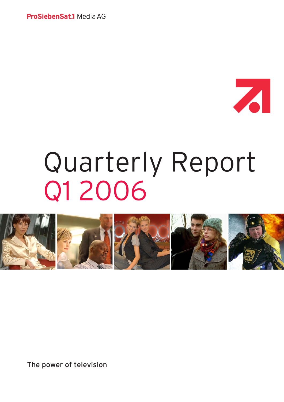ProSiebenSat.1 Media AG



# Quarterly Report Q1 2006



The power of television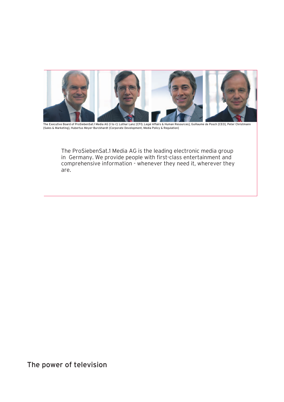

The Executive Board of ProSiebenSat.1 Media AG [I to r]: Lothar Lanz [CFO, Legal Affairs & Human Resources], Guillaume de Posch [CEO], Peter Christmann<br>[Sales & Marketing], Hubertus Meyer-Burckhardt [Corporate Development,

The ProSiebenSat.1 Media AG is the leading electronic media group in Germany. We provide people with first-class entertainment and comprehensive information - whenever they need it, wherever they are.

# The power of television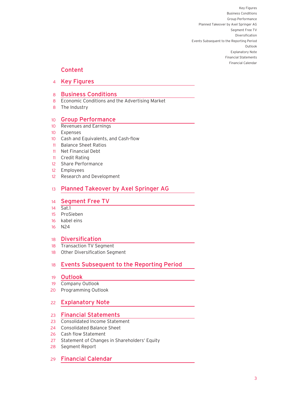## Content

Key Figures 4

## 8 **Business Conditions**

- 8 Economic Conditions and the Advertising Market
- **Example 28 State Industry**

#### Group Performance 10

- 10 Revenues and Earnings
- Expenses
- 10 Cash and Equivalents, and Cash-flow
	- Balance Sheet Ratios 11
	- Net Financial Debt 11
- **11 Credit Rating** 
	- Share Performance 12
- employees **12** Employees
	- Research and Development 12

#### Planned Takeover by Axel Springer AG 13

## 14 Segment Free TV

- Sat.1 14
- ProSieben 15
- kabel eins 16
- N24 16 N24 16

#### Diversification 18

- 18 Transaction TV Segment
	- Other Diversification Segment 18

#### Events Subsequent to the Reporting Period 18

- **Outlook** 19
- 19 Company Outlook
- 20 Programming Outlook

#### Explanatory Note 22

## 23 Financial Statements

- Consolidated Income Statement 23
- Consolidated Balance Sheet 24
- 26 Cash flow Statement
	- Statement of Changes in Shareholders' Equity 27
	- Segment Report 28
	- 29 Financial Calendar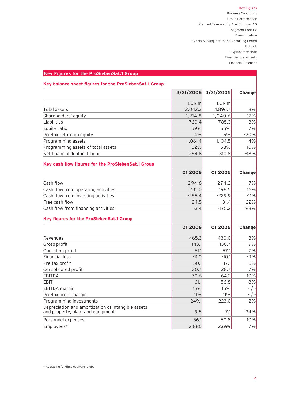## Key Figures

Business Conditions Group Performance Planned Takeover by Axel Springer AG Segment Free TV Diversification Events Subsequent to the Reporting Period Outlook Explanatory Note Financial Statements Financial Calendar

## **Key Figures for the ProSiebenSat.1 Group**

## **Key balance sheet figures for the ProSiebenSat.1 Group**

|                                                                                         | 3/31/2006        | 3/31/2005        | Change        |
|-----------------------------------------------------------------------------------------|------------------|------------------|---------------|
|                                                                                         | EUR <sub>m</sub> | EUR <sub>m</sub> |               |
| Total assets                                                                            | 2,042.3          | 1,896.7          | 8%            |
| Shareholders' equity                                                                    | 1,214.8          | 1,040.6          | 17%           |
| Liabilities                                                                             | 760.4            | 785.3            | $-3%$         |
| Equity ratio                                                                            | 59%              | 55%              | 7%            |
| Pre-tax return on equity                                                                | 4%               | 5%               | $-20%$        |
| Programming assets                                                                      | 1,061.4          | 1,104.5          | $-4%$         |
| Programming assets of total assets                                                      | 52%              | 58%              | $-10%$        |
| Net financial debt incl. bond                                                           | 254.6            | 310.8            | $-18%$        |
| Key cash flow figures for the ProSiebenSat.1 Group                                      |                  |                  |               |
|                                                                                         | <b>Q1 2006</b>   | 01 2005          | <b>Change</b> |
| Cash flow                                                                               | 294.6            | 274.2            | 7%            |
| Cash flow from operating activities                                                     | 231.0            | 198.5            | 16%           |
| Cash flow from investing activities                                                     | $-255.4$         | $-229.9$         | $-11%$        |
| Free cash flow                                                                          | $-24.5$          | $-31.4$          | 22%           |
| Cash flow from financing activities                                                     | $-3.4$           | $-175.2$         | 98%           |
| Key figures for the ProSiebenSat.1 Group                                                |                  |                  |               |
|                                                                                         | 01 2006          | 01 2005          | Change        |
| Revenues                                                                                | 465.3            | 430.0            | 8%            |
| Gross profit                                                                            | 143.1            | 130.7            | 9%            |
| Operating profit                                                                        | 61.1             | 57.1             | 7%            |
| <b>Financial loss</b>                                                                   | $-11.0$          | $-10.1$          | $-9%$         |
| Pre-tax profit                                                                          | 50.1             | 47.1             | 6%            |
| Consolidated profit                                                                     | 30.7             | 28.7             | 7%            |
| <b>EBITDA</b>                                                                           | 70.6             | 64.2             | 10%           |
| <b>EBIT</b>                                                                             | 61.1             | 56.8             | 8%            |
| EBITDA margin                                                                           | 15%              | 15%              | $-$ / $-$     |
| Pre-tax profit margin                                                                   | 11%              | 11%              | - / -         |
| Programming investments                                                                 | 249.1            | 223.0            | 12%           |
| Depreciation and amortization of intangible assets<br>and property, plant and equipment | 9.5              | 7.1              | 34%           |
| Personnel expenses                                                                      | 56.1             | 50.8             | 10%           |
| Employees*                                                                              | 2,885            | 2,699            | 7%            |

\* Averaging full-time equivalent jobs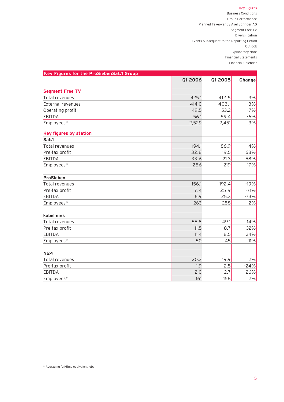## Key Figures

Business Conditions Group Performance Planned Takeover by Axel Springer AG Segment Free TV Diversification Events Subsequent to the Reporting Period Outlook Explanatory Note Financial Statements Financial Calendar

| Key Figures for the ProSiebenSat.1 Group |                |         |        |
|------------------------------------------|----------------|---------|--------|
|                                          | <b>Q1 2006</b> | Q1 2005 | Change |
| <b>Segment Free TV</b>                   |                |         |        |
| Total revenues                           | 425.1          | 412.5   | 3%     |
| External revenues                        | 414.0          | 403.1   | 3%     |
| Operating profit                         | 49.5           | 53.2    | $-7%$  |
| <b>EBITDA</b>                            | 56.1           | 59.4    | $-6%$  |
| Employees*                               | 2,529          | 2,451   | 3%     |
| Key figures by station                   |                |         |        |
| Sat.1                                    |                |         |        |
| Total revenues                           | 194.1          | 186.9   | 4%     |
| Pre-tax profit                           | 32.8           | 19.5    | 68%    |
| <b>EBITDA</b>                            | 33.6           | 21.3    | 58%    |
| Employees*                               | 256            | 219     | 17%    |
| <b>ProSieben</b>                         |                |         |        |
| Total revenues                           | 156.1          | 192.4   | $-19%$ |
| Pre-tax profit                           | 7.4            | 25.9    | $-71%$ |
| <b>EBITDA</b>                            | 6.9            | 25.3    | $-73%$ |
| Employees*                               | 263            | 258     | 2%     |
| kabel eins                               |                |         |        |
| Total revenues                           | 55.8           | 49.1    | 14%    |
| Pre-tax profit                           | 11.5           | 8.7     | 32%    |
| <b>EBITDA</b>                            | 11.4           | 8.5     | 34%    |
| Employees*                               | 50             | 45      | 11%    |
| <b>N24</b>                               |                |         |        |
| Total revenues                           | 20.3           | 19.9    | 2%     |
| Pre-tax profit                           | 1.9            | 2.5     | $-24%$ |
| <b>EBITDA</b>                            | 2.0            | 2.7     | $-26%$ |
| Employees*                               | 161            | 158     | 2%     |

\* Averaging full-time equivalent jobs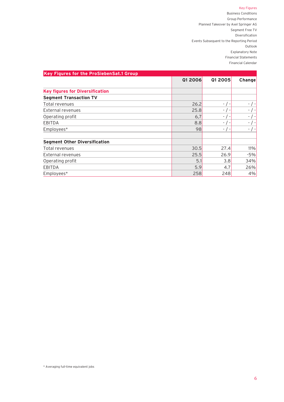## Key Figures

Business Conditions Group Performance Planned Takeover by Axel Springer AG Segment Free TV Diversification Events Subsequent to the Reporting Period Outlook Explanatory Note Financial Statements Financial Calendar

| Key Figures for the ProSiebenSat.1 Group |         |            |               |
|------------------------------------------|---------|------------|---------------|
|                                          | Q1 2006 | Q1 2005    | <b>Change</b> |
| <b>Key figures for Diversification</b>   |         |            |               |
| <b>Segment Transaction TV</b>            |         |            |               |
| Total revenues                           | 26.2    | $-$ / $-$  | $-$ / $-$     |
| External revenues                        | 25.8    | $-$ / $-$  |               |
| Operating profit                         | 6,7     | $-$ / $-$  | - / -         |
| <b>EBITDA</b>                            | 8.8     | $-$ / $-$  |               |
| Employees*                               | 98      | $-$ / $-$  |               |
| <b>Segment Other Diversification</b>     |         |            |               |
| Total revenues                           | 30.5    | 27.4       | 11%           |
| External revenues                        | 25.5    | 26.9       | -5%           |
| Operating profit                         |         | 3.8<br>5.1 | 34%           |
| <b>EBITDA</b>                            | 5.9     | 4.7        | 26%           |
| Employees*                               | 258     | 248        | 4%            |
|                                          |         |            |               |

\* Averaging full-time equivalent jobs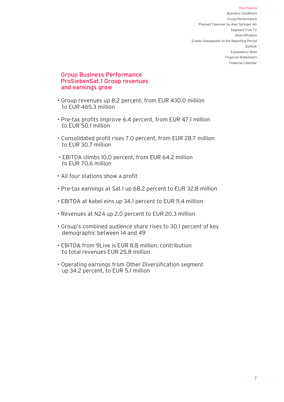## Group Business Performance ProSiebenSat.1 Group revenues and earnings grow

- Group revenues up 8.2 percent, from EUR 430.0 million to EUR 465.3 million
- Pre-tax profits improve 6.4 percent, from EUR 47.1 million to EUR 50.1 million
- Consolidated profit rises 7.0 percent, from EUR 28.7 million to EUR 30.7 million
- EBITDA climbs 10.0 percent, from EUR 64.2 million to EUR 70.6 million
- All four stations show a profit
- Pre-tax earnings at Sat.1 up 68.2 percent to EUR 32.8 million
- EBITDA at kabel eins up 34.1 percent to EUR 11.4 million
- Revenues at N24 up 2.0 percent to EUR 20.3 million
- Group's combined audience share rises to 30.1 percent of key demographic between 14 and 49
- EBITDA from 9Live is EUR 8.8 million, contribution to total revenues EUR 25.8 million
- Operating earnings from Other Diversification segment up 34.2 percent, to EUR 5.1 million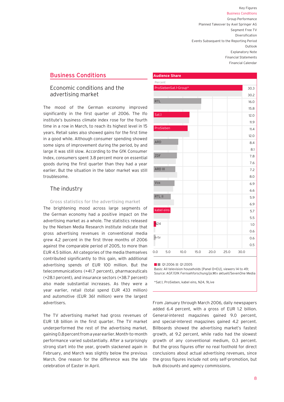## Business Conditions

## Economic conditions and the advertising market

The mood of the German economy improved significantly in the first quarter of 2006. The Ifo institute's business climate index rose for the fourth time in a row in March, to reach its highest level in 15 years. Retail sales also showed gains for the first time in a good while. Although consumer spending showed some signs of improvement during the period, by and large it was still slow. According to the GfK Consumer Index, consumers spent 3.8 percent more on essential goods during the first quarter than they had a year earlier. But the situation in the labor market was still troublesome.

## The industry

#### Gross statistics for the advertising market

The brightening mood across large segments of the German economy had a positive impact on the advertising market as a whole. The statistics released by the Nielsen Media Research institute indicate that gross advertising revenues in conventional media grew 4.2 percent in the first three months of 2006 against the comparable period of 2005, to more than EUR 4.5 billion. All categories of the media themselves contributed significantly to this gain, with additional advertising spends of EUR 100 million. But the telecommunications (+41.7 percent), pharmaceuticals (+28.1 percent), and insurance sectors (+38.7 percent) also made substantial increases. As they were a year earlier, retail (total spend EUR 433 million) and automotive (EUR 361 million) were the largest advertisers.

The TV advertising market had gross revenues of EUR 1.8 billion in the first quarter. The TV market underperformed the rest of the advertising market, gaining 0.8 percent from a year earlier. Month-to-month performance varied substantially. After a surprisingly strong start into the year, growth slackened again in February, and March was slightly below the previous March. One reason for the difference was the late celebration of Easter in April.

|                 | <b>Audience Share</b> |      |      |      |      |      |
|-----------------|-----------------------|------|------|------|------|------|
| Percent         |                       |      |      |      |      |      |
|                 | ProSiebenSat.1-Group* |      |      |      |      | 30.3 |
|                 |                       |      |      |      |      | 30.2 |
| <b>RTL</b>      |                       |      |      |      |      | 16.0 |
|                 |                       |      |      |      |      | 15.8 |
| Sat.1           |                       |      |      |      |      | 12.0 |
|                 |                       |      |      |      |      | 11.9 |
| ProSieben       |                       |      |      |      |      | 11.4 |
|                 |                       |      |      |      |      | 12.0 |
| <b>ARD</b>      |                       |      |      |      |      | 8.4  |
|                 |                       |      |      |      |      | 8.1  |
| ZDF             |                       |      |      |      |      | 7.8  |
|                 |                       |      |      |      |      | 7.6  |
| ARD III         |                       |      |      |      |      | 7.2  |
|                 |                       |      |      |      |      | 8.0  |
| Vox             |                       |      |      |      |      | 6.9  |
|                 |                       |      |      |      |      | 6.6  |
| RTL II          |                       |      |      |      |      | 5.9  |
|                 |                       |      |      |      |      | 6.9  |
| kabel eins      |                       |      |      |      |      | 5.7  |
|                 |                       |      |      |      |      | 5.5  |
| N <sub>24</sub> |                       |      |      |      |      | 1.0  |
|                 |                       |      |      |      |      | 0.6  |
| n-tv            |                       |      |      |      |      | 0.6  |
|                 |                       |      |      |      |      | 0.5  |
| 0.0             | 5.0                   | 10.0 | 15.0 | 20.0 | 25.0 | 30.0 |
|                 |                       |      |      |      |      |      |

**Q1 2006** Q1 2005

Basis: All television households [Panel D+EU], viewers 14 to 49; Source: AGF/GfK Fernsehforschung/pc#tv aktuell/SevenOne Media

\*Sat.1, ProSieben, kabel eins, N24, 9Live

From January through March 2006, daily newspapers added 6.4 percent, with a gross of EUR 1.2 billion. General-interest magazines gained 9.0 percent, and special-interest magazines gained 4.2 percent. Billboards showed the advertising market's fastest growth, at 9.2 percent, while radio had the slowest growth of any conventional medium, 0.3 percent. But the gross figures offer no real foothold for direct conclusions about actual advertising revenues, since the gross figures include not only self-promotion, but bulk discounts and agency commissions.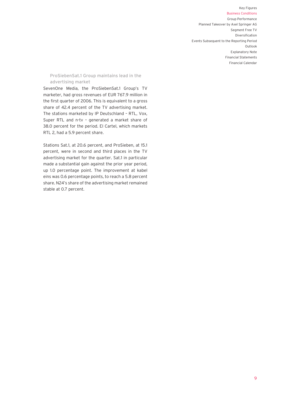## ProSiebenSat.1 Group maintains lead in the advertising market

SevenOne Media, the ProSiebenSat.1 Group's TV marketer, had gross revenues of EUR 767.9 million in the first quarter of 2006. This is equivalent to a gross share of 42.4 percent of the TV advertising market. The stations marketed by IP Deutschland – RTL, Vox, Super RTL and n-tv – generated a market share of 38.0 percent for the period. El Cartel, which markets RTL 2, had a 5.9 percent share.

Stations Sat.1, at 20.6 percent, and ProSieben, at 15.1 percent, were in second and third places in the TV advertising market for the quarter. Sat.1 in particular made a substantial gain against the prior year period, up 1.0 percentage point. The improvement at kabel eins was 0.6 percentage points, to reach a 5.8 percent share. N24's share of the advertising market remained stable at 0.7 percent.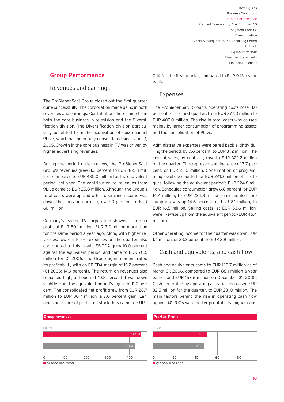## Group Performance

## Revenues and earnings

The ProSiebenSat.1 Group closed out the first quarter quite successfully. The corporation made gains in both revenues and earnings. Contributions here came from both the core business in television and the Diversification division. The Diversification division particularly benefited from the acquisition of quiz channel 9Live, which has been fully consolidated since June 1, 2005. Growth in the core business in TV was driven by higher advertising revenues.

During the period under review, the ProSiebenSat.1 Group's revenues grew 8.2 percent to EUR 465.3 million, compared to EUR 430.0 million for the equivalent period last year. The contribution to revenues from 9Live came to EUR 25.8 million. Although the Group's total costs were up and other operating income was down, the operating profit grew 7.0 percent, to EUR 61.1 million.

Germany's leading TV corporation showed a pre-tax profit of EUR 50.1 million, EUR 3.0 million more than for the same period a year ago. Along with higher revenues, lower interest expenses on the quarter also contributed to this result. EBITDA grew 10.0 percent against the equivalent period, and came to EUR 70.6 million for Q1 2006. The Group again demonstrated its profitability with an EBITDA margin of 15.2 percent (Q1 2005: 14.9 percent). The return on revenues also remained high, although at 10.8 percent it was down slightly from the equivalent period's figure of 11.0 percent. The consolidated net profit grew from EUR 28.7 million to EUR 30.7 million, a 7.0 percent gain. Earnings per share of preferred stock thus came to EUR



0.14 for the first quarter, compared to EUR 0.13 a year earlier.

## Expenses

The ProSiebenSat.1 Group's operating costs rose 8.0 percent for the first quarter, from EUR 377.0 million to EUR 407.0 million. The rise in total costs was caused mainly by larger consumption of programming assets and the consolidation of 9Live.

Administrative expenses were pared back slightly during the period, by 0.6 percent, to EUR 31.2 million. The cost of sales, by contrast, rose to EUR 322.2 million on the quarter. This represents an increase of 7.7 percent, or EUR 23.0 million. Consumption of programming assets accounted for EUR 241.3 million of this figure, following the equivalent period's EUR 224.8 million. Scheduled consumption grew 6.8 percent, or EUR 14.4 million, to EUR 224.8 million; unscheduled consumption was up 14.6 percent, or EUR 2.1 million, to EUR 16.5 million. Selling costs, at EUR 53.6 million, were likewise up from the equivalent period (EUR 46.4 million).

Other operating income for the quarter was down EUR 1.4 million, or 33.3 percent, to EUR 2.8 million.

## Cash and equivalents, and cash flow

Cash and equivalents came to EUR 129.7 million as of March 31, 2006, compared to EUR 88.1 million a year earlier and EUR 157.6 million on December 31, 2005. Cash generated by operating activities increased EUR 32.5 million for the quarter, to EUR 231.0 million. The main factors behind the rise in operating cash flow against Q1 2005 were better profitability, higher con-

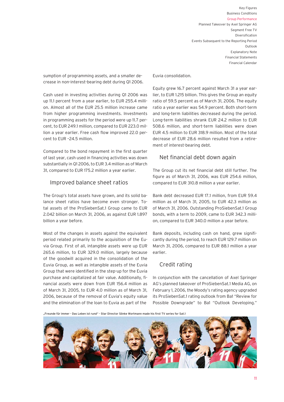sumption of programming assets, and a smaller decrease in non-interest-bearing debt during Q1 2006.

Cash used in investing activities during Q1 2006 was up 11.1 percent from a year earlier, to EUR 255.4 million. Almost all of the EUR 25.5 million increase came from higher programming investments. Investments in programming assets for the period were up 11.7 percent, to EUR 249.1 million, compared to EUR 223.0 million a year earlier. Free cash flow improved 22.0 percent to EUR –24.5 million.

Compared to the bond repayment in the first quarter of last year, cash used in financing activities was down substantially in Q1 2006, to EUR 3.4 million as of March 31, compared to EUR 175.2 million a year earlier.

## Improved balance sheet ratios

The Group's total assets have grown, and its solid balance sheet ratios have become even stronger. Total assets of the ProSiebenSat.1 Group came to EUR 2.042 billion on March 31, 2006, as against EUR 1.897 billion a year before.

Most of the changes in assets against the equivalent period related primarily to the acquisition of the Euvia Group. First of all, intangible assets were up EUR 265.6 million, to EUR 329.0 million, largely because of the goodwill acquired in the consolidation of the Euvia Group, as well as intangible assets of the Euvia Group that were identified in the step-up for the Euvia purchase and capitalized at fair value. Additionally, financial assets were down from EUR 156.4 million as of March 31, 2005, to EUR 4.0 million as of March 31, 2006, because of the removal of Euvia's equity value and the elimination of the loan to Euvia as part of the

Euvia consolidation.

Equity grew 16.7 percent against March 31 a year earlier, to EUR 1.215 billion. This gives the Group an equity ratio of 59.5 percent as of March 31, 2006. The equity ratio a year earlier was 54.9 percent. Both short-term and long-term liabilities decreased during the period. Long-term liabilities shrank EUR 24.2 million to EUR 508.6 million, and short-term liabilities were down EUR 4.5 million to EUR 318.9 million. Most of the total decrease of EUR 28.6 million resulted from a retirement of interest-bearing debt.

## Net financial debt down again

The Group cut its net financial debt still further. The figure as of March 31, 2006, was EUR 254.6 million, compared to EUR 310.8 million a year earlier.

Bank debt decreased EUR 17.1 million, from EUR 59.4 million as of March 31, 2005, to EUR 42.3 million as of March 31, 2006. Outstanding ProSiebenSat.1 Group bonds, with a term to 2009, came to EUR 342.3 million, compared to EUR 340.0 million a year before.

Bank deposits, including cash on hand, grew significantly during the period, to reach EUR 129.7 million on March 31, 2006, compared to EUR 88.1 million a year earlier.

## Credit rating

In conjunction with the cancellation of Axel Springer AG's planned takeover of ProSiebenSat.1 Media AG, on February 1, 2006, the Moody's rating agency upgraded its ProSiebenSat.1 rating outlook from Ba1 "Review for Possible Downgrade" to Ba1 "Outlook Developing."

"Freunde für immer - Das Leben ist rund" - Star Director Sönke Wortmann made his first TV series for Sat.1

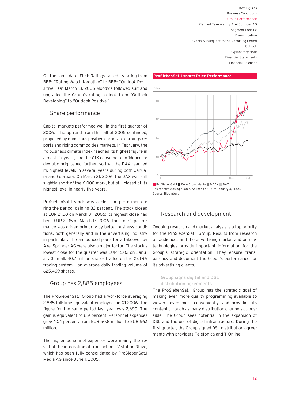On the same date, Fitch Ratings raised its rating from BBB- "Rating Watch Negative" to BBB- "Outlook Positive." On March 13, 2006 Moody's followed suit and upgraded the Group's rating outlook from "Outlook Developing" to "Outlook Positive."

## Share performance

Capital markets performed well in the first quarter of 2006. The uptrend from the fall of 2005 continued, propelled by numerous positive corporate earnings reports and rising commodities markets. In February, the Ifo business climate index reached its highest figure in almost six years, and the GfK consumer confidence index also brightened further, so that the DAX reached its highest levels in several years during both January and February. On March 31, 2006, the DAX was still slightly short of the 6,000 mark, but still closed at its highest level in nearly five years.

ProSiebenSat.1 stock was a clear outperformer during the period, gaining 32 percent. The stock closed at EUR 21.50 on March 31, 2006; its highest close had been EUR 22.15 on March 17, 2006. The stock's performance was driven primarily by better business conditions, both generally and in the advertising industry in particular. The announced plans for a takeover by Axel Springer AG were also a major factor. The stock's lowest close for the quarter was EUR 16.02 on January 3. In all, 40.7 million shares traded on the XETRA trading system – an average daily trading volume of 625,469 shares.

## Group has 2,885 employees

The ProSiebenSat.1 Group had a workforce averaging 2,885 full-time equivalent employees in Q1 2006. The figure for the same period last year was 2,699. The gain is equivalent to 6.9 percent. Personnel expenses grew 10.4 percent, from EUR 50.8 million to EUR 56.1 million.

The higher personnel expenses were mainly the result of the integration of transaction TV station 9Live, which has been fully consolidated by ProSiebenSat.1 Media AG since June 1, 2005.



## Research and development

Ongoing research and market analysis is a top priority for the ProSiebenSat.1 Group. Results from research on audiences and the advertising market and on new technologies provide important information for the Group's strategic orientation. They ensure transparency and document the Group's performance for its advertising clients.

## Group signs digital and DSL distribution agreements

The ProSiebenSat.1 Group has the strategic goal of making even more quality programming available to viewers even more conveniently, and providing its content through as many distribution channels as possible. The Group sees potential in the expansion of DSL and the use of digital infrastructure. During the first quarter, the Group signed DSL distribution agreements with providers Telefónica and T-Online.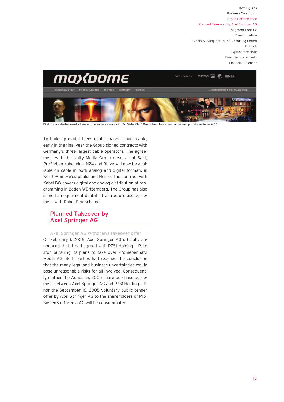

First-class entertainment whenever the audience wants it - ProSiebenSat.1 Group launches video-on-demand portal maxdome in Q3

To build up digital feeds of its channels over cable, early in the final year the Group signed contracts with Germany's three largest cable operators. The agreement with the Unity Media Group means that Sat.1, ProSieben kabel eins, N24 and 9Live will now be available on cable in both analog and digital formats in North-Rhine-Westphalia and Hesse. The contract with Kabel BW covers digital and analog distribution of programming in Baden-Württemberg. The Group has also signed an equivalent digital infrastructure use agreement with Kabel Deutschland.

## Planned Takeover by Axel Springer AG

Axel Springer AG withdraws takeover offer On February 1, 2006, Axel Springer AG officially announced that it had agreed with P7S1 Holding L.P. to stop pursuing its plans to take over ProSiebenSat.1 Media AG. Both parties had reached the conclusion that the many legal and business uncertainties would pose unreasonable risks for all involved. Consequently neither the August 5, 2005 share purchase agreement between Axel Springer AG and P7S1 Holding L.P. nor the September 16, 2005 voluntary public tender offer by Axel Springer AG to the shareholders of Pro-SiebenSat.1 Media AG will be consummated.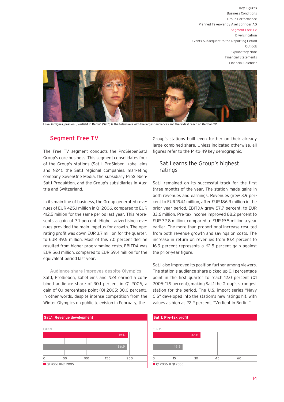Segment Free TV

Diversification Events Subsequent to the Reporting Period Outlook Explanatory Note Financial Statements Financial Calendar



Love, intrigues, passion: "Verliebt in Berlin" (Sat.1) is the telenovela with the largest audiences and the widest reach on German TV

## Segment Free TV

The Free TV segment conducts the ProSiebenSat.1 Group's core business. This segment consolidates four of the Group's stations (Sat.1, ProSieben, kabel eins and N24), the Sat.1 regional companies, marketing company SevenOne Media, the subsidiary ProSieben-Sat.1 Produktion, and the Group's subsidiaries in Austria and Switzerland.

In its main line of business, the Group generated revenues of EUR 425.1 million in Q1 2006, compared to EUR 412.5 million for the same period last year. This represents a gain of 3.1 percent. Higher advertising revenues provided the main impetus for growth. The operating profit was down EUR 3.7 million for the quarter, to EUR 49.5 million. Most of this 7.0 percent decline resulted from higher programming costs. EBITDA was EUR 56.1 million, compared to EUR 59.4 million for the equivalent period last year.

#### Audience share improves despite Olympics

Sat.1, ProSieben, kabel eins and N24 earned a combined audience share of 30.1 percent in Q1 2006, a gain of 0.1 percentage point (Q1 2005: 30.0 percent). In other words, despite intense competition from the Winter Olympics on public television in February, the



Group's stations built even further on their already large combined share. Unless indicated otherwise, all figures refer to the 14-to-49 key demographic.

## Sat.1 earns the Group's highest ratings

Sat.1 remained on its successful track for the first three months of the year. The station made gains in both revenues and earnings. Revenues grew 3.9 percent to EUR 194.1 million, after EUR 186.9 million in the prior-year period. EBITDA grew 57.7 percent, to EUR 33.6 million. Pre-tax income improved 68.2 percent to EUR 32.8 million, compared to EUR 19.5 million a year earlier. The more than proportional increase resulted from both revenue growth and savings on costs. The increase in return on revenues from 10.4 percent to 16.9 percent represents a 62.5 percent gain against the prior-year figure.

Sat.1 also improved its position further among viewers. The station's audience share picked up 0.1 percentage point in the first quarter to reach 12.0 percent (Q1 2005: 11.9 percent), making Sat.1 the Group's strongest station for the period. The U.S. import series "Navy CIS" developed into the station's new ratings hit, with values as high as 22.2 percent. "Verliebt in Berlin,"

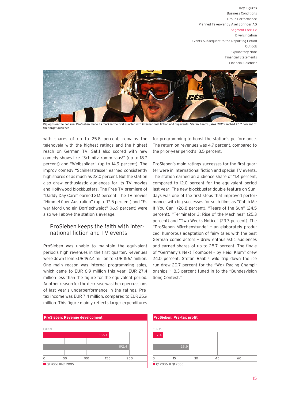### Segment Free TV

Diversification Events Subsequent to the Reporting Period Outlook Explanatory Note Financial Statements Financial Calendar



Big egos on the bob run: ProSieben made its mark in the first quarter with international fiction and big events: Stefan Raab's "Wok-WM" reached 20.7 percent of the target audience

with shares of up to 25.8 percent, remains the telenovela with the highest ratings and the highest reach on German TV. Sat.1 also scored with new comedy shows like "Schmitz komm raus!" (up to 18.7 percent) and "Weibsbilder" (up to 14.9 percent). The improv comedy "Schillerstrasse" earned consistently high shares of as much as 22.0 percent. But the station also drew enthusiastic audiences for its TV movies and Hollywood blockbusters. The Free TV premiere of "Daddy Day Care" earned 21.1 percent. The TV movies "Himmel über Australien" (up to 17.5 percent) and "Es war Mord und ein Dorf schweigt" (16.9 percent) were also well above the station's average.

## ProSieben keeps the faith with international fiction and TV events

ProSieben was unable to maintain the equivalent period's high revenues in the first quarter. Revenues were down from EUR 192.4 million to EUR 156.1 million. One main reason was internal programming sales, which came to EUR 6.9 million this year, EUR 27.4 million less than the figure for the equivalent period. Another reason for the decrease was the repercussions of last year's underperformance in the ratings. Pretax income was EUR 7.4 million, compared to EUR 25.9 million. This figure mainly reflects larger expenditures



for programming to boost the station's performance. The return on revenues was 4.7 percent, compared to the prior-year period's 13.5 percent.

ProSieben's main ratings successes for the first quarter were in international fiction and special TV events. The station earned an audience share of 11.4 percent, compared to 12.0 percent for the equivalent period last year. The new blockbuster double feature on Sundays was one of the first steps that improved performance, with big successes for such films as "Catch Me If You Can" (26.8 percent), "Tears of the Sun" (24.5 percent), "Terminator 3: Rise of the Machines" (25.3 percent) and "Two Weeks Notice" (23.3 percent). The "ProSieben Märchenstunde" – an elaborately produced, humorous adaptation of fairy tales with the best German comic actors – drew enthusiastic audiences and earned shares of up to 28.7 percent. The finale of "Germany's Next Topmodel – by Heidi Klum" drew 24.0 percent. Stefan Raab's wild trip down the ice run drew 20.7 percent for the "Wok Racing Championships"; 18.3 percent tuned in to the "Bundesvision Song Contest."

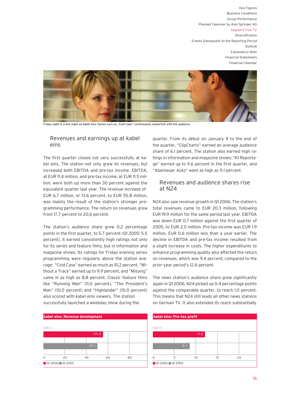## Segment Free TV

Diversification Events Subsequent to the Reporting Period Outlook Explanatory Note Financial Statements Financial Calendar



Friday night is crime night on kabel eins: Series such as "Cold Case" continuously outperfom with the audience

## Revenues and earnings up at kabel eins

The first quarter closed out very successfully at kabel eins. The station not only grew its revenues, but increased both EBITDA and pre-tax income. EBITDA, at EUR 11.4 million, and pre-tax income, at EUR 11.5 million, were both up more than 30 percent against the equivalent quarter last year. The revenue increase of EUR 6.7 million, or 13.6 percent, to EUR 55.8 million, was mainly the result of the station's stronger programming performance. The return on revenues grew from 17.7 percent to 20.6 percent.

The station's audience share grew 0.2 percentage points in the first quarter, to 5.7 percent (Q1 2005: 5.5 percent). It earned consistently high ratings not only for its series and feature films, but in information and magazine shows. Its ratings for Friday evening series programming were regularly above the station average: "Cold Case" earned as much as 10.2 percent, "Without a Trace" earned up to 9.9 percent, and "Missing" came in as high as 8.8 percent. Classic feature films like "Running Man" (11.0 percent), "The President's Man" (10.0 percent) and "Highlander" (10.0 percent) also scored with kabel eins viewers. The station successfully launched a weekday show during the



quarter. From its debut on January 9 to the end of the quarter, "ClipCharts" earned an average audience share of 6.1 percent. The station also earned high ratings in information and magazine shows: "K1 Reportage" earned up to 9.6 percent in the first quarter, and "Abenteuer Auto" went as high as 9.1 percent.

## Revenues and audience shares rise at N24

N24 also saw revenue growth in Q1 2006. The station's total revenues came to EUR 20.3 million, following EUR 19.9 million for the same period last year. EBITDA was down EUR 0.7 million against the first quarter of 2005, to EUR 2.0 million. Pre-tax income was EUR 1.9 million, EUR 0.6 million less than a year earlier. The decline in EBITDA and pre-tax income resulted from a slight increase in costs. The higher expenditures to enhance programming quality also affected the return on revenues, which was 9.4 percent, compared to the prior-year period's 12.6 percent.

The news station's audience share grew significantly again in Q1 2006. N24 picked up 0.4 percentage points against the comparable quarter, to reach 1.0 percent. This means that N24 still leads all other news stations on German TV. It also extended its reach substantially

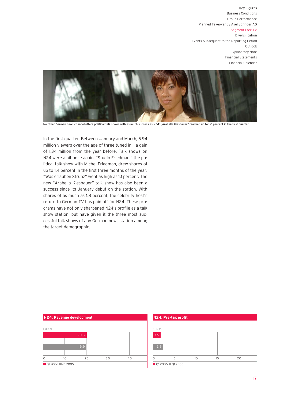## Segment Free TV

Diversification Events Subsequent to the Reporting Period Outlook Explanatory Note Financial Statements Financial Calendar



No other German news channel offers political talk shows with as much success as N24: "Arabella Kiesbauer" reached up to 1.8 percent in the first quarter

in the first quarter. Between January and March, 5.94 million viewers over the age of three tuned in – a gain of 1.34 million from the year before. Talk shows on N24 were a hit once again. "Studio Friedman," the political talk show with Michel Friedman, drew shares of up to 1.4 percent in the first three months of the year. "Was erlauben Strunz" went as high as 1.1 percent. The new "Arabella Kiesbauer" talk show has also been a success since its January debut on the station. With shares of as much as 1.8 percent, the celebrity host's return to German TV has paid off for N24. These programs have not only sharpened N24's profile as a talk show station, but have given it the three most successful talk shows of any German news station among the target demographic.

|          | N24: Revenue development |      |    |    |  |
|----------|--------------------------|------|----|----|--|
| EUR m    |                          |      |    |    |  |
|          |                          | 20.3 |    |    |  |
|          |                          |      |    |    |  |
|          |                          | 19.9 |    |    |  |
|          |                          |      |    |    |  |
| $\Omega$ | 10                       | 20   | 30 | 40 |  |
|          | Q1 2006 Q1 2005          |      |    |    |  |

|                 | N24: Pre-tax profit |                 |    |    |  |
|-----------------|---------------------|-----------------|----|----|--|
|                 |                     |                 |    |    |  |
| EUR m           |                     |                 |    |    |  |
| 1.9             |                     |                 |    |    |  |
| 2.5             |                     |                 |    |    |  |
|                 | 5                   | 10 <sup>2</sup> | 15 | 20 |  |
| Q1 2006 Q1 2005 |                     |                 |    |    |  |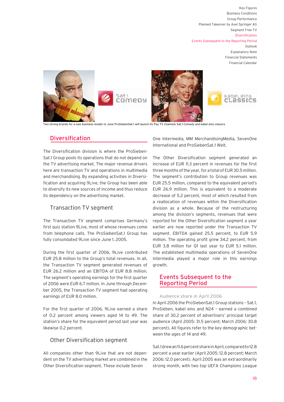Financial Statements Financial Calendar

kabel eins

CLassics



Two strong brands for a new business model: In June ProSiebenSat.1 will launch its Pay TV channels Sat.1 Comedy and kabel eins classics

## Diversification

The Diversification division is where the ProSieben-Sat.1 Group pools its operations that do not depend on the TV advertising market. The major revenue drivers here are transaction TV and operations in multimedia and merchandising. By expanding activities in Diversification and acquiring 9Live, the Group has been able to diversify its new sources of income and thus reduce its dependency on the advertising market.

## Transaction TV segment

The Transaction TV segment comprises Germany's first quiz station 9Live, most of whose revenues come from telephone calls. The ProSiebenSat.1 Group has fully consolidated 9Live since June 1, 2005.

During the first quarter of 2006, 9Live contributed EUR 25.8 million to the Group's total revenues. In all, the Transaction TV segment generated revenues of EUR 26.2 million and an EBITDA of EUR 8.8 million. The segment's operating earnings for the first quarter of 2006 were EUR 6.7 million. In June through December 2005, the Transaction TV segment had operating earnings of EUR 8.0 million.

For the first quarter of 2006, 9Live earned a share of 0.2 percent among viewers aged 14 to 49. The station's share for the equivalent period last year was likewise 0.2 percent.

## Other Diversification segment

All companies other than 9Live that are not dependent on the TV advertising market are combined in the Other Diversification segment. These include Seven

One Intermedia, MM MerchandisingMedia, SevenOne International and ProSiebenSat.1 Welt.

The Other Diversification segment generated an increase of EUR 11.3 percent in revenues for the first three months of the year, for a total of EUR 30.5 million. The segment's contribution to Group revenues was EUR 25.5 million, compared to the equivalent period's EUR 26.9 million. This is equivalent to a moderate decrease of 5.2 percent, most of which resulted from a reallocation of revenues within the Diversification division as a whole. Because of the restructuring among the division's segments, revenues that were reported for the Other Diversification segment a year earlier are now reported under the Transaction TV segment. EBITDA gained 25.5 percent, to EUR 5.9 million. The operating profit grew 34.2 percent, from EUR 3.8 million for Q1 last year to EUR 5.1 million. The established multimedia operations of SevenOne Intermedia played a major role in this earnings growth.

## Events Subsequent to the Reporting Period

#### Audience share in April 2006

In April 2006 the ProSiebenSat.1 Group stations – Sat.1, ProSieben, kabel eins and N24 – earned a combined share of 30.2 percent of advertisers' principal target audience (April 2005: 31.5 percent; March 2006: 30.8 percent). All figures refer to the key demographic between the ages of 14 and 49.

Sat.1 drew an 11.6 percent share in April, compared to 12.8 percent a year earlier (April 2005: 12.8 percent; March 2006: 12.0 percent). April 2005 was an extraordinarily strong month, with two top UEFA Champions League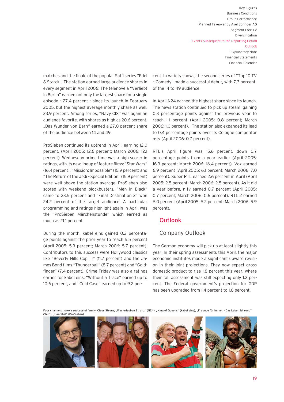matches and the finale of the popular Sat.1 series "Edel & Starck." The station earned large audience shares in every segment in April 2006: The telenovela "Verliebt in Berlin" earned not only the largest share for a single episode – 27.4 percent – since its launch in February 2005, but the highest average monthly share as well, 23.9 percent. Among series, "Navy CIS" was again an audience favorite, with shares as high as 20.6 percent. "Das Wunder von Bern" earned a 27.0 percent share of the audience between 14 and 49.

ProSieben continued its uptrend in April, earning 12.0 percent. (April 2005: 12.6 percent; March 2006: 12.1 percent). Wednesday prime time was a high scorer in ratings, with its new lineup of feature films: "Star Wars" (16.4 percent), "Mission: Impossible" (15.9 percent) and "The Return of the Jedi – Special Edition" (15.9 percent) were well above the station average. ProSieben also scored with weekend blockbusters. "Men in Black" came to 23.5 percent and "Final Destination 2" won 24.2 percent of the target audience. A particular programming and ratings highlight again in April was the "ProSieben Märchenstunde" which earned as much as 21.1 percent.

During the month, kabel eins gained 0.2 percentage points against the prior year to reach 5.5 percent (April 2005: 5.3 percent; March 2006: 5.7 percent). Contributors to this success were Hollywood classics like "Beverly Hills Cop III" (11.7 percent) and the James Bond films "Thunderball" (8.7 percent) and "Goldfinger" (7.4 percent). Crime Friday was also a ratings earner for kabel eins: "Without a Trace" earned up to 10.6 percent, and "Cold Case" earned up to 9.2 percent. In variety shows, the second series of "Top 10 TV – Comedy" made a successful debut, with 7.3 percent of the 14 to 49 audience.

In April N24 earned the highest share since its launch. The news station continued to pick up steam, gaining 0.3 percentage points against the previous year to reach 1.1 percent (April 2005: 0.8 percent; March 2006: 1.0 percent). The station also expanded its lead to 0.4 percentage points over its Cologne competitor n-tv (April 2006: 0.7 percent).

RTL's April figure was 15.6 percent, down 0.7 percentage points from a year earlier (April 2005: 16.3 percent; March 2006: 16.4 percent). Vox earned 6.9 percent (April 2005: 6.1 percent; March 2006: 7.0 percent). Super RTL earned 2.6 percent in April (April 2005: 2.5 percent; March 2006: 2.5 percent). As it did a year before, n-tv earned 0.7 percent (April 2005: 0.7 percent; March 2006: 0.6 percent). RTL 2 earned 6.0 percent (April 2005: 6.2 percent; March 2006: 5.9 percent).

## **Outlook**

## Company Outlook

The German economy will pick up at least slightly this year. In their spring assessments this April, the major economic institutes made a significant upward revision in their joint projections. They now expect gross domestic product to rise 1.8 percent this year, where their fall assessment was still expecting only 1.2 percent. The Federal government's projection for GDP has been upgraded from 1.4 percent to 1.6 percent.

Four channels make a successful family: Claus Strunz, "Was erlauben Strunz" (N24), "King of Queens" (kabel eins), "Freunde für immer - Das Leben ist rund"

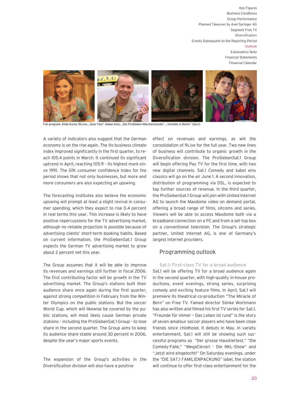

Full program: Alida Kuras (9Live), "Quiz-Taxi" (kabel eins), "Die ProSieben Märchenstunde", "Verliebt in Berlin" (Sat.1)

A variety of indicators also suggest that the German economy is on the rise again. The Ifo business climate index improved significantly in the first quarter, to reach 105.4 points in March. It continued its significant uptrend in April, reaching 105.9 – its highest mark since 1991. The GfK consumer confidence index for the period shows that not only businesses, but more and more consumers are also expecting an upswing.

The forecasting institutes also believe the economic upswing will prompt at least a slight revival in consumer spending, which they expect to rise 0.4 percent in real terms this year. This increase is likely to have positive repercussions for the TV advertising market, although no reliable projection is possible because of advertising clients' short-term booking habits. Based on current information, the ProSiebenSat.1 Group expects the German TV advertising market to grow about 2 percent net this year.

The Group assumes that it will be able to improve its revenues and earnings still further in fiscal 2006. The first contributing factor will be growth in the TV advertising market. The Group's stations built their audience share once again during the first quarter, against strong competition in February from the Winter Olympics on the public stations. But the soccer World Cup, which will likewise be covered by the public stations, will most likely cause German private stations – including the ProSiebenSat.1 Group – to lose share in the second quarter. The Group aims to keep its audience share stable around 30 percent in 2006, despite the year's major sports events.

The expansion of the Group's activities in the Diversification division will also have a positive

effect on revenues and earnings, as will the consolidation of 9Live for the full year. Two new lines of business will contribute to organic growth in the Diversification division. The ProSiebenSat.1 Group will begin offering Pay TV for the first time, with two new digital channels. Sat.1 Comedy and kabel eins classics will go on the air June 1. A second innovation, distribution of programming via DSL, is expected to tap further sources of revenue. In the third quarter, the ProSiebenSat.1 Group will join with United Internet AG to launch the Maxdome video on demand portal, offering a broad range of films, sitcoms and series. Viewers will be able to access Maxdome both via a broadband connection on a PC and from a set-top box on a conventional television. The Group's strategic partner, United Internet AG, is one of Germany's largest Internet providers.

## Programming outlook

Sat.1: First-class TV for a broad audience Sat.1 will be offering TV for a broad audience again in the second quarter, with high-quality in-house productions, event evenings, strong series, surprising comedy and exciting feature films. In April, Sat.1 will premiere its theatrical co-production "The Miracle of Bern" on Free TV. Famed director Sönke Wortmann has also written and filmed his first TV series for Sat.1. "Freunde für immer – Das Leben ist rund" is the story of seven amateur soccer players who have been close friends since childhood. It debuts in May. In variety entertainment, Sat.1 will still be showing such successful programs as "Der grosse Haustiertest," "Die Comedy-Falle," "MegaClever! - Die NKL-Show" and "Jetzt wird eingelocht!" On Saturday evenings, under the "DIE SAT.1 FAMILIENPACKUNG" label, the station will continue to offer first-class entertainment for the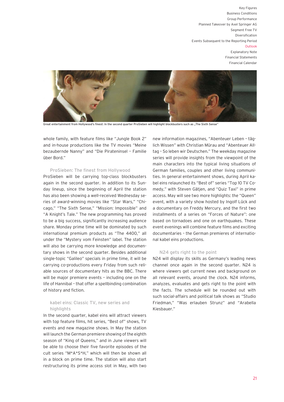

Great entertainment from Hollywood's finest: In the second quarter ProSieben will highlight blockbusters such as "The Sixth Sense"

whole family, with feature films like "Jungle Book 2" and in-house productions like the TV movies "Meine bezaubernde Nanny" and "Die Pirateninsel – Familie über Bord."

## ProSieben: The finest from Hollywood

ProSieben will be carrying top-class blockbusters again in the second quarter. In addition to its Sunday lineup, since the beginning of April the station has also been showing a well-received Wednesday series of award-winning movies like "Star Wars," "Chicago," "The Sixth Sense," "Mission: Impossible" and "A Knight's Tale." The new programming has proved to be a big success, significantly increasing audience share. Monday prime time will be dominated by such international premium products as "The 4400," all under the "Mystery vom Feinsten" label. The station will also be carrying more knowledge and documentary shows in the second quarter. Besides additional single-topic "Galileo" specials in prime time, it will be carrying co-productions every Friday from such reliable sources of documentary hits as the BBC. There will be major premiere events – including one on the life of Hannibal – that offer a spellbinding combination of history and fiction.

## kabel eins: Classic TV, new series and highlights

In the second quarter, kabel eins will attract viewers with top feature films, hit series, "Best of" shows, TV events and new magazine shows. In May the station will launch the German premiere showing of the eighth season of "King of Queens," and in June viewers will be able to choose their five favorite episodes of the cult series "M\*A\*S\*H," which will then be shown all in a block on prime time. The station will also start restructuring its prime access slot in May, with two

new information magazines, "Abenteuer Leben – täglich Wissen" with Christian Mürau and "Abenteuer Alltag – So leben wir Deutschen." The weekday magazine series will provide insights from the viewpoint of the main characters into the typical living situations of German families, couples and other living communities. In general entertainment shows, during April kabel eins relaunched its "Best of" series "Top 10 TV Comedy," with Steven Gätjen, and "Quiz Taxi" in prime access. May will see two more highlights: the "Queen" event, with a variety show hosted by Ingolf Lück and a documentary on Freddy Mercury, and the first two installments of a series on "Forces of Nature": one based on tornadoes and one on earthquakes. These event evenings will combine feature films and exciting documentaries – the German premieres of international kabel eins productions.

#### N24 gets right to the point

N24 will display its skills as Germany's leading news channel once again in the second quarter. N24 is where viewers get current news and background on all relevant events, around the clock. N24 informs, analyzes, evaluates and gets right to the point with the facts. The schedule will be rounded out with such social-affairs and political talk shows as "Studio Friedman," "Was erlauben Strunz" and "Arabella Kiesbauer."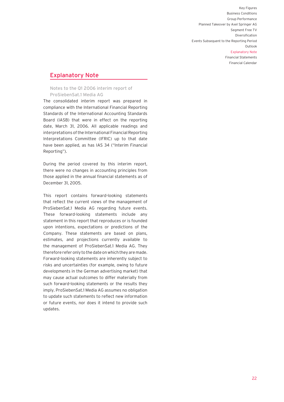Financial Calendar

## Explanatory Note

Notes to the Q1 2006 interim report of ProSiebenSat.1 Media AG

The consolidated interim report was prepared in compliance with the International Financial Reporting Standards of the International Accounting Standards Board (IASB) that were in effect on the reporting date, March 31, 2006. All applicable readings and interpretations of the International Financial Reporting Interpretations Committee (IFRIC) up to that date have been applied, as has IAS 34 ("Interim Financial Reporting").

During the period covered by this interim report, there were no changes in accounting principles from those applied in the annual financial statements as of December 31, 2005.

This report contains forward-looking statements that reflect the current views of the management of ProSiebenSat.1 Media AG regarding future events. These forward-looking statements include any statement in this report that reproduces or is founded upon intentions, expectations or predictions of the Company. These statements are based on plans, estimates, and projections currently available to the management of ProSiebenSat.1 Media AG. They therefore refer only to the date on which they are made. Forward-looking statements are inherently subject to risks and uncertainties (for example, owing to future developments in the German advertising market) that may cause actual outcomes to differ materially from such forward-looking statements or the results they imply. ProSiebenSat.1 Media AG assumes no obligation to update such statements to reflect new information or future events, nor does it intend to provide such updates.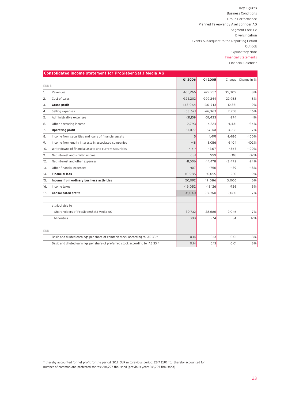Financial Calendar

|       | Consolidated income statement for ProSiebenSat.1 Media AG                     |               |            |          |             |
|-------|-------------------------------------------------------------------------------|---------------|------------|----------|-------------|
|       |                                                                               | 01 2006       | 01 2005    | Change   | Change in % |
| EUR k |                                                                               |               |            |          |             |
| 1.    | Revenues                                                                      | 465,266       | 429,957    | 35,309   | 8%          |
| 2.    | Cost of sales                                                                 | $-322,202$    | $-299,244$ | 22,958   | 8%          |
| 3.    | Gross profit                                                                  | 143,064       | 130,713    | 12,351   | 9%          |
| 4.    | Selling expenses                                                              | $-53,621$     | $-46,363$  | 7,258    | 16%         |
| 5.    | Administrative expenses                                                       | $-31.159$     | $-31.433$  | $-274$   | $-1%$       |
| 6.    | Other operating income                                                        | 2,793         | 4,224      | $-1,431$ | $-34%$      |
| 7.    | Operating profit                                                              | 61,077        | 57,141     | 3,936    | 7%          |
| 8.    | Income from securities and loans of financial assets                          | 5             | 1,491      | $-1,486$ | $-100%$     |
| 9.    | Income from equity interests in associated companies                          | $-48$         | 3,056      | $-3,104$ | $-102%$     |
| 10.   | Write-downs of financial assets and current securities                        | $-$ / $\cdot$ | $-367$     | $-367$   | $-100%$     |
| 11.   | Net interest and similar income                                               | 681           | 999        | $-318$   | $-32%$      |
| 12.   | Net interest and other expenses                                               | $-11.006$     | $-14.478$  | $-3,472$ | $-24%$      |
| 13.   | Other financial expenses                                                      | $-617$        | $-756$     | $-139$   | $-18%$      |
| 14.   | <b>Financial loss</b>                                                         | $-10,985$     | $-10,055$  | $-930$   | $-9%$       |
| 15.   | Income from ordinary business activities                                      | 50,092        | 47,086     | 3,006    | 6%          |
| 16.   | Income taxes                                                                  | $-19,052$     | $-18,126$  | 926      | 5%          |
| 17.   | <b>Consolidated profit</b>                                                    | 31.040        | 28,960     | 2.080    | 7%          |
|       |                                                                               |               |            |          |             |
|       | attributable to                                                               |               |            |          |             |
|       | Shareholders of ProSiebenSat.1 Media AG                                       | 30,732        | 28,686     | 2,046    | 7%          |
|       | Minorities                                                                    | 308           | 274        | 34       | 12%         |
|       |                                                                               |               |            |          |             |
| EUR   |                                                                               |               |            |          |             |
|       | Basic and diluted earnings per share of common stock according to IAS 33 *    | 0.14          | 0.13       | 0.01     | 8%          |
|       | Basic and diluted earnings per share of preferred stock according to IAS 33 * | 0.14          | 0.13       | 0.01     | 8%          |

\* thereby accounted for net profit for the period: 30.7 EUR m [previous period: 28.7 EUR m]; thereby accounted for number of common and preferred shares: 218,797 thousand [previous year: 218,797 thousand]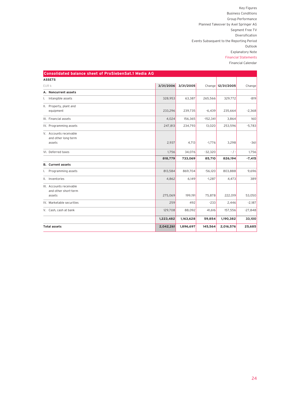| <b>Consolidated balance sheet of ProSiebenSat.1 Media AG</b> |           |           |            |                   |           |
|--------------------------------------------------------------|-----------|-----------|------------|-------------------|-----------|
| <b>ASSETS</b>                                                |           |           |            |                   |           |
| EUR k                                                        | 3/31/2006 | 3/31/2005 |            | Change 12/31/2005 | Change    |
| A. Noncurrent assets                                         |           |           |            |                   |           |
| Intangible assets<br>L.                                      | 328,953   | 63,387    | 265,566    | 329,772           | $-819$    |
| II. Property, plant and<br>equipment                         | 233,296   | 239,735   | $-6,439$   | 235,664           | $-2,368$  |
| III. Financial assets                                        | 4,024     | 156,365   | $-152,341$ | 3,864             | 160       |
| IV. Programming assets                                       | 247,813   | 234,793   | 13,020     | 253,596           | $-5,783$  |
| V. Accounts receivable<br>and other long-term<br>assets      | 2,937     | 4,713     | $-1,776$   | 3,298             | $-361$    |
| VI. Deferred taxes                                           | 1,756     | 34,076    | $-32,320$  | $-$ / $-$         | 1,756     |
|                                                              | 818,779   | 733,069   | 85,710     | 826,194           | $-7,415$  |
| <b>B.</b> Current assets                                     |           |           |            |                   |           |
| I. Programming assets                                        | 813,584   | 869,704   | $-56,120$  | 803,888           | 9,696     |
| II. Inventories                                              | 4,862     | 6,149     | $-1,287$   | 4,473             | 389       |
| III. Accounts receivable<br>and other short-term<br>assets   | 275,069   | 199,191   | 75,878     | 222,019           | 53,050    |
| IV. Marketable securities                                    | 259       | 492       | $-233$     | 2,446             | $-2,187$  |
| V. Cash, cash at bank                                        | 129,708   | 88,092    | 41,616     | 157,556           | $-27,848$ |
|                                                              | 1,223,482 | 1,163,628 | 59,854     | 1,190,382         | 33,100    |
| <b>Total assets</b>                                          | 2,042,261 | 1,896,697 | 145,564    | 2,016,576         | 25,685    |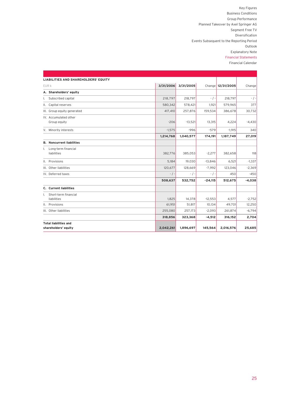| <b>LIABILITIES AND SHAREHOLDERS' EQUITY</b>          |           |           |           |                   |           |
|------------------------------------------------------|-----------|-----------|-----------|-------------------|-----------|
| EUR k                                                | 3/31/2006 | 3/31/2005 |           | Change 12/31/2005 | Change    |
| A. Shareholders' equity                              |           |           |           |                   |           |
| Subscribed capital<br>Ι.                             | 218,797   | 218,797   | $-$ / $-$ | 218,797           | $-$ / $-$ |
| II. Capital reserves                                 | 580,342   | 578,421   | 1,921     | 579,965           | 377       |
| III. Group equity generated                          | 417,410   | 257,876   | 159,534   | 386,678           | 30,732    |
| IV. Accumulated other<br>Group equity                | $-206$    | $-13,521$ | 13,315    | 4,224             | $-4,430$  |
| V. Minority interests                                | $-1,575$  | $-996$    | $-579$    | $-1,915$          | 340       |
|                                                      | 1,214,768 | 1,040,577 | 174,191   | 1,187,749         | 27,019    |
| <b>B.</b> Noncurrent liabilities                     |           |           |           |                   |           |
| Long-term financial<br>Ι.<br>liabilities             | 382,776   | 385,053   | $-2,277$  | 382,658           | 118       |
| II. Provisions                                       | 5,184     | 19,030    | $-13,846$ | 6,521             | $-1,337$  |
| III. Other liabilities                               | 120,677   | 128,669   | $-7,992$  | 123,046           | $-2,369$  |
| IV. Deferred taxes                                   | $-$ / $-$ | $-$ / $-$ | $-$ / $-$ | 450               | $-450$    |
|                                                      | 508,637   | 532,752   | $-24,115$ | 512,675           | $-4,038$  |
| C. Current liabilities                               |           |           |           |                   |           |
| Short-term financial<br>L<br>liabilities             | 1,825     | 14,378    | $-12,553$ | 4,577             | $-2,752$  |
| II. Provisions                                       | 61,951    | 51,817    | 10,134    | 49,701            | 12,250    |
| III. Other liabilities                               | 255,080   | 257,173   | $-2,093$  | 261,874           | $-6.794$  |
|                                                      | 318,856   | 323,368   | $-4,512$  | 316,152           | 2,704     |
| <b>Total liabilities and</b><br>shareholders' equity | 2,042,261 | 1,896,697 | 145,564   | 2,016,576         | 25,685    |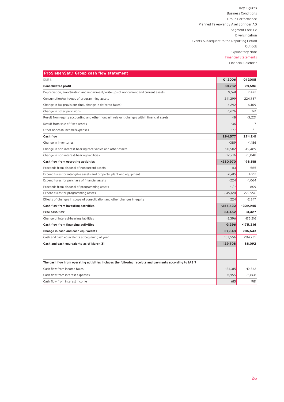| <b>ProSiebenSat.1 Group cash flow statement</b>                                                         |                |                |
|---------------------------------------------------------------------------------------------------------|----------------|----------------|
| EUR k                                                                                                   | <b>Q1 2006</b> | <b>Q1 2005</b> |
| <b>Consolidated profit</b>                                                                              | 30,732         | 28,686         |
| Depreciation, amortization and impairment/write-ups of noncurrent and current assets                    | 9,541          | 7,472          |
| Consumption/write-ups of programming assets                                                             | 241.299        | 224.757        |
| Change in tax provisions (incl. change in deferred taxes)                                               | 14,292         | 16.169         |
| Change in other provisions                                                                              | $-1,676$       | 361            |
| Result from equity accounting and other noncash relevant changes within financial assets                | 48             | $-3.221$       |
| Result from sale of fixed assets                                                                        | $-36$          | 17             |
| Other noncash income/expenses                                                                           | 377            | $-$ / $-$      |
| <b>Cash flow</b>                                                                                        | 294,577        | 274,241        |
| Change in inventories                                                                                   | $-389$         | $-1,186$       |
| Change in non-interest-bearing receivables and other assets                                             | $-50,502$      | $-49,489$      |
| Change in non-interest-bearing liabilities                                                              | $-12,716$      | $-25,048$      |
| Cash flow from operating activities                                                                     | $-230,970$     | 198,518        |
| Proceeds from disposal of noncurrent assets                                                             | 113            | 565            |
| Expenditures for intangible assets and property, plant and equipment                                    | $-6.415$       | $-4.912$       |
| Expenditures for purchase of financial assets                                                           | $-224$         | $-1,064$       |
| Proceeds from disposal of programming assets                                                            | $-$ / $-$      | 809            |
| Expenditures for programming assets                                                                     | $-249.120$     | $-222,996$     |
| Effects of changes in scope of consolidation and other changes in equity                                | 224            | $-2,347$       |
| Cash flow from investing activities                                                                     | $-255.422$     | $-229,945$     |
| Free cash flow                                                                                          | $-24,452$      | $-31,427$      |
| Change of interest-bearing liabilities                                                                  | $-3,396$       | $-175,216$     |
| Cash flow from financing activities                                                                     | $-3,396$       | $-175,216$     |
| Change in cash and cash equivalents                                                                     | $-27,848$      | $-206,643$     |
| Cash and cash equivalents at beginning of year                                                          | 157,556        | 294,735        |
| Cash and cash equivalents as of March 31                                                                | 129,708        | 88,092         |
|                                                                                                         |                |                |
| The cash flow from operating activities includes the following receipts and payments according to IAS 7 |                |                |
| Cash flow from income taxes                                                                             | $-24,315$      | $-12,342$      |
| Cash flow from interest expenses                                                                        | $-11,955$      | $-21,868$      |
| Cash flow from interest income                                                                          | 615            | 981            |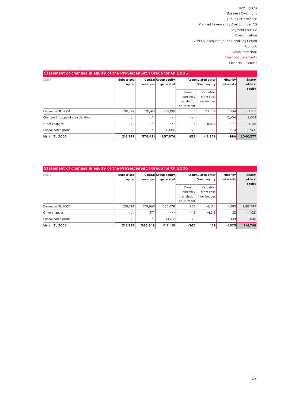| Statement of changes in equity of the ProSiebenSat.1 Group for Q1 2005 |                              |           |                                   |                                                  |                                       |                              |                              |  |  |
|------------------------------------------------------------------------|------------------------------|-----------|-----------------------------------|--------------------------------------------------|---------------------------------------|------------------------------|------------------------------|--|--|
| <b>EURK</b>                                                            | <b>Subscribed</b><br>capital | reserves  | Capital Group equity<br>generated | Accumulated other<br>Group equity                |                                       | <b>Minority</b><br>interests | Share-<br>holders'<br>equity |  |  |
|                                                                        |                              |           |                                   | Foreian<br>currency<br>translation<br>adjustment | Valuation<br>from cash<br>flow hedges |                              |                              |  |  |
| December 31, 2004                                                      | 218.797                      | 578.421   | 229.190                           | $-135$                                           | $-23.504$                             | 1.334                        | 1,004,103                    |  |  |
| Changes in scope of consolidation                                      | $-$ / $-$                    | $-$ / $-$ | $-$ / $-$                         | $-$ / $-$                                        | $-$ /<br>۰.                           | $-2.604$                     | $-2.604$                     |  |  |
| Other changes                                                          | $-$ / $-$                    | $-$ / $-$ | $-$ / $-$                         | $-17$                                            | 10.135                                | $-$ / $-$                    | 10.118                       |  |  |
| Consolidated profit                                                    | $-$ / $-$                    | $-$ / $-$ | 28.686                            | $-$ / $-$                                        | $-$ /<br>$\overline{\phantom{a}}$     | 274                          | 28.960                       |  |  |
| March 31, 2005                                                         | 218.797                      | 578,421   | 257,876                           | $-152$                                           | $-13.369$                             | $-996$                       | 1.040.577                    |  |  |

| Statement of changes in equity of the ProSiebenSat.1 Group for Q1 2006 |                   |           |                      |                   |              |           |           |  |  |                 |        |
|------------------------------------------------------------------------|-------------------|-----------|----------------------|-------------------|--------------|-----------|-----------|--|--|-----------------|--------|
| EUR k                                                                  | <b>Subscribed</b> |           | Capital Group equity | Accumulated other |              |           |           |  |  | <b>Minority</b> | Share- |
|                                                                        | capital           | reserves  | qenerated            |                   | Group equity | interests | holders'  |  |  |                 |        |
|                                                                        |                   |           |                      | Foreign           | Valuation    |           | equity    |  |  |                 |        |
|                                                                        |                   |           |                      | currency          | from cash    |           |           |  |  |                 |        |
|                                                                        |                   |           |                      | translation       | flow hedges  |           |           |  |  |                 |        |
|                                                                        |                   |           |                      | adjustment        |              |           |           |  |  |                 |        |
| December 31, 2005                                                      | 218.797           | 579.965   | 386.678              | $-250$            | 4.474        | $-1.915$  | 1,187,749 |  |  |                 |        |
| Other changes                                                          | $-$ / $-$         | 377       | $-$ / $-$            | $-115$            | $-4.315$     | 32        | $-4,021$  |  |  |                 |        |
| Consolidated profit                                                    | $-$ / $-$         | $-$ / $-$ | 30.732               | $-$ / $-$         | $-$ / $-$    | 308       | 31,040    |  |  |                 |        |
| March 31, 2006                                                         | 218,797           | 580.342   | 417,410              | $-365$            | 159          | $-1.575$  | 1,214,768 |  |  |                 |        |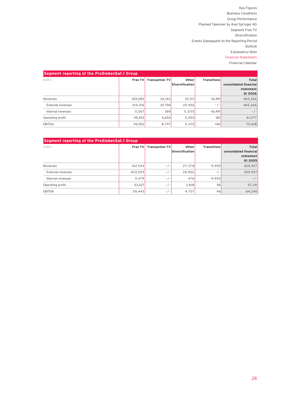| Segment reporting of the ProSiebenSat.1 Group |         |                       |                                 |                    |                                                         |  |  |  |
|-----------------------------------------------|---------|-----------------------|---------------------------------|--------------------|---------------------------------------------------------|--|--|--|
| EUR k                                         | Free TV | <b>Transaction TV</b> | Other<br><b>Diversification</b> | <b>Transitions</b> | Total<br>consolidated financial<br>statement<br>Q1 2006 |  |  |  |
| Revenues                                      | 425.083 | 26.163                | 30.511                          | $-16.491$          | 465,266                                                 |  |  |  |
| External revenues                             | 414,016 | 25.794                | 25,456                          | $-$ / $-$          | 465,266                                                 |  |  |  |
| Internal revenues                             | 11.067  | 369                   | 5,055                           | $-16.491$          | $-$ / $-$                                               |  |  |  |
| Operating profit                              | 49,453  | 6,654                 | 5,050                           | $-80$              | 61,077                                                  |  |  |  |
| <b>EBITDA</b>                                 | 56,052  | 8.797                 | 5.915                           | $-146$             | 70,618                                                  |  |  |  |

| Segment reporting of the ProSiebenSat.1 Group |         |                       |                          |                    |                                                                |  |  |  |
|-----------------------------------------------|---------|-----------------------|--------------------------|--------------------|----------------------------------------------------------------|--|--|--|
| EUR k                                         | Free TV | <b>Transaction TV</b> | Other<br>Diversification | <b>Transitions</b> | Total<br>consolidated financial<br>statement<br><b>Q1 2005</b> |  |  |  |
| Revenues                                      | 412,534 | $-$ / $-$             | 27.378                   | $-9.955$           | 429,957                                                        |  |  |  |
| External revenues                             | 403.055 | $-$ / $-$             | 26,902                   | $-/-$              | 429,957                                                        |  |  |  |
| Internal revenues                             | 9.479   | $-$ / $-$             | 476                      | $-9.955$           | $-$ / $-$                                                      |  |  |  |
| Operating profit                              | 53,227  | $-$ / $-$             | 3,818                    | 96                 | 57,141                                                         |  |  |  |
| EBITDA                                        | 59,443  | $-$ / $-$             | 4,707                    | 96                 | 64,246                                                         |  |  |  |